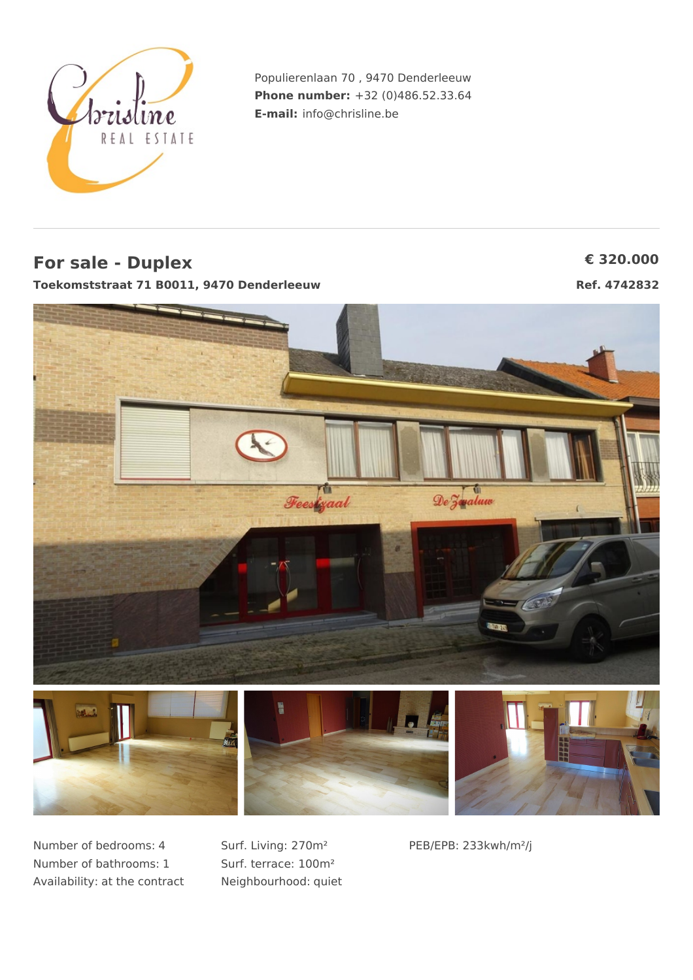

Populierenlaan 70 , 9470 Denderleeuw **Phone number:** +32 (0)486.52.33.64 **E-mail:** info@chrisline.be

## **For sale - Duplex € 320.000**

**Toekomststraat 71 B0011, 9470 Denderleeuw Ref. 4742832**



Number of bedrooms: 4 Number of bathrooms: 1 Availability: at the contract Surf. Living: 270m² Surf. terrace: 100m² Neighbourhood: quiet PEB/EPB: 233kwh/m²/j